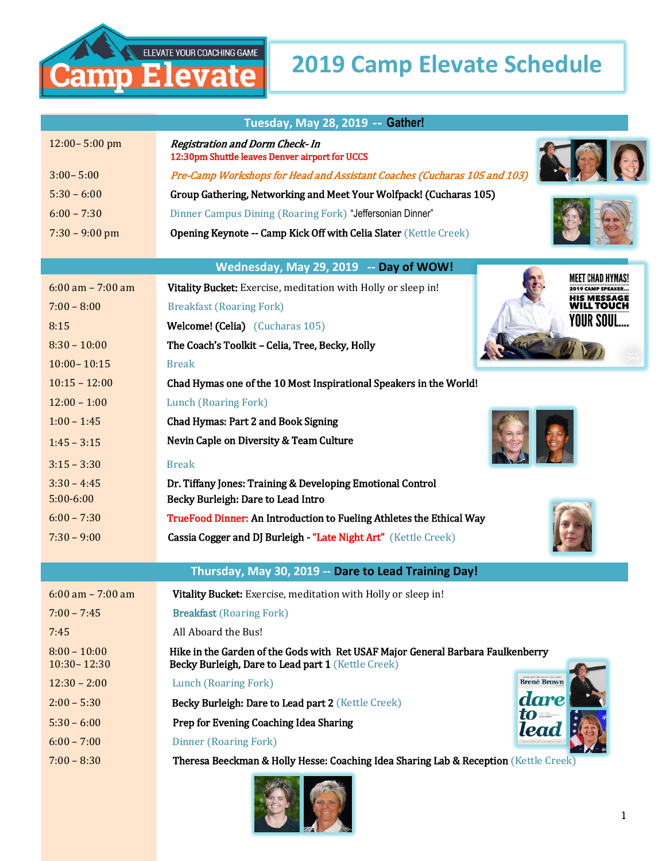## **2019 Camp Elevate Schedule**

| Tuesday, May 28, 2019 -- Gather!       |                                                                                          |  |  |
|----------------------------------------|------------------------------------------------------------------------------------------|--|--|
| $12:00 - 5:00$ pm                      | <b>Registration and Dorm Check- In</b><br>12:30pm Shuttle leaves Denver airport for UCCS |  |  |
| $3:00 - 5:00$                          | Pre-Camp Workshops for Head and Assistant Coaches (Cucharas 105 and 103)                 |  |  |
| $5:30 - 6:00$                          | Group Gathering, Networking and Meet Your Wolfpack! (Cucharas 105)                       |  |  |
| $6:00 - 7:30$                          | Dinner Campus Dining (Roaring Fork) "Jeffersonian Dinner"                                |  |  |
| $7:30 - 9:00$ pm                       | Opening Keynote -- Camp Kick Off with Celia Slater (Kettle Creek)                        |  |  |
| Wednesday, May 29, 2019 -- Day of WOW! |                                                                                          |  |  |
| $6:00$ am $- 7:00$ am                  | AEET CHAD HYI<br>Vitality Bucket: Exercise, meditation with Holly or sleep in!           |  |  |
| $7:00 - 8:00$                          | IIS MESSAGE<br><b>Breakfast (Roaring Fork)</b><br>/ILL TOUCH                             |  |  |
| 8:15                                   | YOUR SOUI<br>Welcome! (Celia) (Cucharas 105)                                             |  |  |
| $8:30 - 10:00$                         | The Coach's Toolkit - Celia, Tree, Becky, Holly                                          |  |  |
| $10:00 - 10:15$                        | <b>Break</b>                                                                             |  |  |
| $10:15 - 12:00$                        | Chad Hymas one of the 10 Most Inspirational Speakers in the World!                       |  |  |
| $12:00 - 1:00$                         | Lunch (Roaring Fork)                                                                     |  |  |
| $1:00 - 1:45$                          | Chad Hymas: Part 2 and Book Signing                                                      |  |  |
| $1:45 - 3:15$                          | Nevin Caple on Diversity & Team Culture                                                  |  |  |
| $3:15 - 3:30$                          | <b>Break</b>                                                                             |  |  |
| $3:30 - 4:45$                          | Dr. Tiffany Jones: Training & Developing Emotional Control                               |  |  |
| $5:00-6:00$                            | Becky Burleigh: Dare to Lead Intro                                                       |  |  |
| $6:00 - 7:30$                          | TrueFood Dinner: An Introduction to Fueling Athletes the Ethical Way                     |  |  |
| $7:30 - 9:00$                          | Cassia Cogger and DJ Burleigh - "Late Night Art" (Kettle Creek)                          |  |  |

ELEVATE YOUR COACHING GAME

Н

lamp

evate

## **Thursday, May 30, 2019 -- Dare to Lead Training Day!**

| $6:00 \text{ am} - 7:00 \text{ am}$ | Vitality Bucket: Exercise, meditation with Holly or sleep in!                                                                                |  |
|-------------------------------------|----------------------------------------------------------------------------------------------------------------------------------------------|--|
| $7:00 - 7:45$                       | <b>Breakfast</b> (Roaring Fork)                                                                                                              |  |
| 7:45                                | All Aboard the Bus!                                                                                                                          |  |
| $8:00 - 10:00$<br>$10:30 - 12:30$   | Hike in the Garden of the Gods with Ret USAF Major General Barbara Faulkenberry<br><b>Becky Burleigh, Dare to Lead part 1 (Kettle Creek)</b> |  |
| $12:30 - 2:00$                      | to only more them assembly on actions.<br><b>Brené Brown</b><br>Lunch (Roaring Fork)                                                         |  |
| $2:00 - 5:30$                       | dare<br>Becky Burleigh: Dare to Lead part 2 (Kettle Creek)                                                                                   |  |
| $5:30 - 6:00$                       | $to =$<br>Prep for Evening Coaching Idea Sharing<br>lea                                                                                      |  |
| $6:00 - 7:00$                       | Dinner (Roaring Fork)                                                                                                                        |  |
| $7:00 - 8:30$                       | Theresa Beeckman & Holly Hesse: Coaching Idea Sharing Lab & Reception (Kettle Creek)                                                         |  |
|                                     |                                                                                                                                              |  |